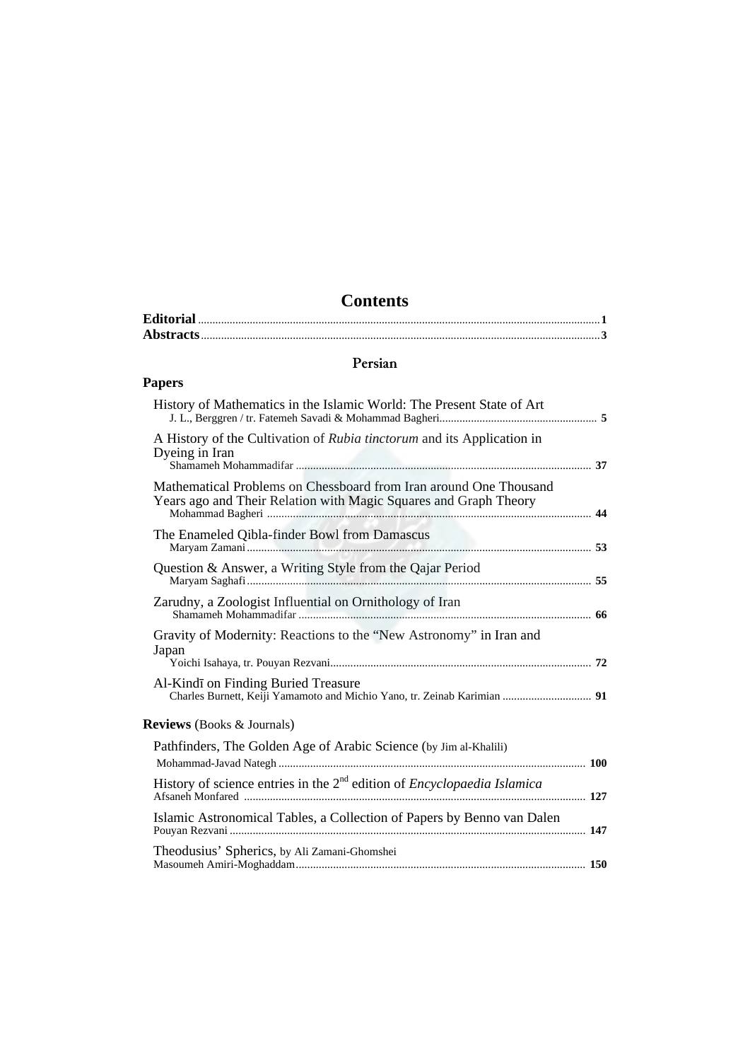## **Contents**

## **Persian**

## **Papers**

| History of Mathematics in the Islamic World: The Present State of Art                                                                 |  |
|---------------------------------------------------------------------------------------------------------------------------------------|--|
| A History of the Cultivation of Rubia tinctorum and its Application in<br>Dyeing in Iran                                              |  |
| Mathematical Problems on Chessboard from Iran around One Thousand<br>Years ago and Their Relation with Magic Squares and Graph Theory |  |
| The Enameled Qibla-finder Bowl from Damascus                                                                                          |  |
| Question & Answer, a Writing Style from the Qajar Period                                                                              |  |
| Zarudny, a Zoologist Influential on Ornithology of Iran                                                                               |  |
| Gravity of Modernity: Reactions to the "New Astronomy" in Iran and<br>Japan                                                           |  |
| Al-Kindī on Finding Buried Treasure<br>Charles Burnett, Keiji Yamamoto and Michio Yano, tr. Zeinab Karimian  91                       |  |
| <b>Reviews</b> (Books & Journals)                                                                                                     |  |
| Pathfinders, The Golden Age of Arabic Science (by Jim al-Khalili)                                                                     |  |
| History of science entries in the $2nd$ edition of <i>Encyclopaedia Islamica</i>                                                      |  |
| Islamic Astronomical Tables, a Collection of Papers by Benno van Dalen                                                                |  |
| Theodusius' Spherics, by Ali Zamani-Ghomshei                                                                                          |  |